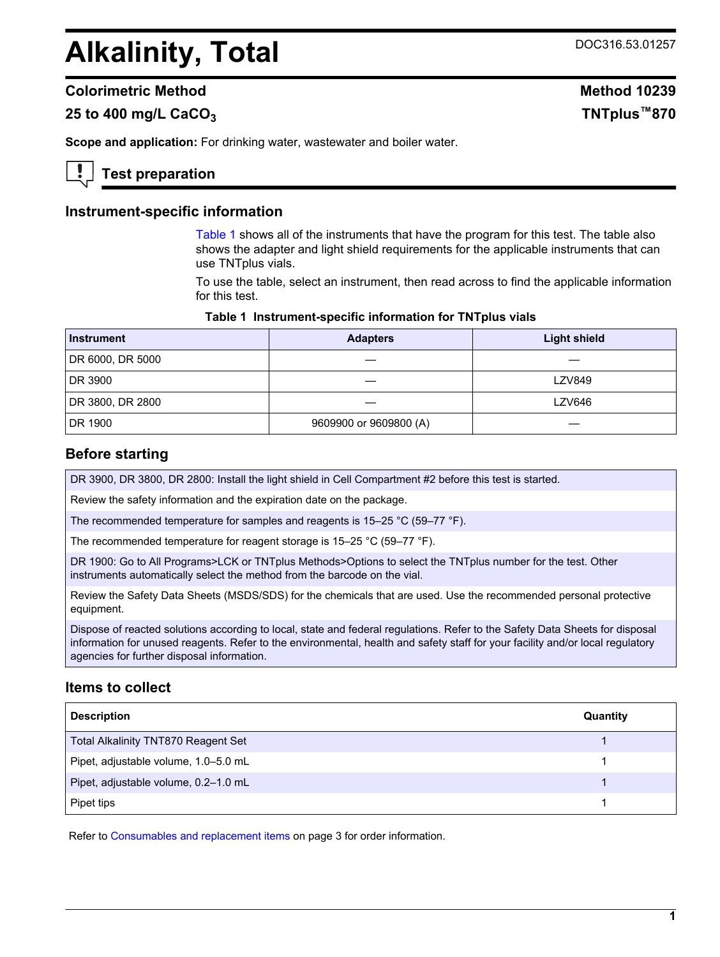# Alkalinity, Total DOC316.53.01257

## **Colorimetric Method Method 10239**

# **25 to 400 mg/L CaCO<sup>3</sup> TNTplus™870**

**Scope and application:** For drinking water, wastewater and boiler water.

# **Test preparation**

### **Instrument-specific information**

[Table 1](#page-0-0) shows all of the instruments that have the program for this test. The table also shows the adapter and light shield requirements for the applicable instruments that can use TNTplus vials.

To use the table, select an instrument, then read across to find the applicable information for this test.

#### **Table 1 Instrument-specific information for TNTplus vials**

<span id="page-0-1"></span><span id="page-0-0"></span>

| <b>Instrument</b> | <b>Adapters</b>        | <b>Light shield</b> |
|-------------------|------------------------|---------------------|
| DR 6000, DR 5000  |                        |                     |
| DR 3900           |                        | <b>LZV849</b>       |
| DR 3800, DR 2800  |                        | <b>LZV646</b>       |
| DR 1900           | 9609900 or 9609800 (A) |                     |

### **Before starting**

DR 3900, DR 3800, DR 2800: Install the light shield in Cell Compartment #2 before this test is started.

Review the safety information and the expiration date on the package.

The recommended temperature for samples and reagents is 15–25 °C (59–77 °F).

The recommended temperature for reagent storage is 15–25 °C (59–77 °F).

DR 1900: Go to All Programs>LCK or TNTplus Methods>Options to select the TNTplus number for the test. Other instruments automatically select the method from the barcode on the vial.

Review the Safety Data Sheets (MSDS/SDS) for the chemicals that are used. Use the recommended personal protective equipment.

Dispose of reacted solutions according to local, state and federal regulations. Refer to the Safety Data Sheets for disposal information for unused reagents. Refer to the environmental, health and safety staff for your facility and/or local regulatory agencies for further disposal information.

# **Items to collect**

| <b>Description</b>                         | Quantity |
|--------------------------------------------|----------|
| <b>Total Alkalinity TNT870 Reagent Set</b> |          |
| Pipet, adjustable volume, 1.0-5.0 mL       |          |
| Pipet, adjustable volume, 0.2-1.0 mL       |          |
| Pipet tips                                 |          |

Refer to [Consumables and replacement items](#page-2-0) on page 3 for order information.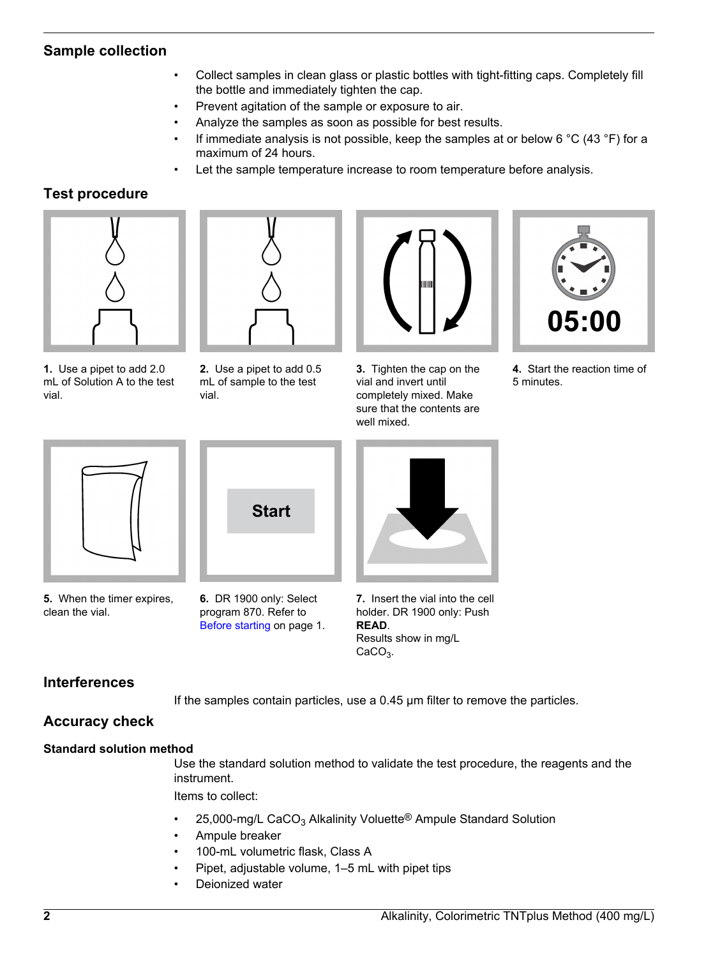# **Sample collection**

- Collect samples in clean glass or plastic bottles with tight-fitting caps. Completely fill the bottle and immediately tighten the cap.
- Prevent agitation of the sample or exposure to air.
- Analyze the samples as soon as possible for best results.
- If immediate analysis is not possible, keep the samples at or below 6 °C (43 °F) for a maximum of 24 hours.
- Let the sample temperature increase to room temperature before analysis.

# **Test procedure**



**1.** Use a pipet to add 2.0 mL of Solution A to the test vial.



**2.** Use a pipet to add 0.5 mL of sample to the test vial.



**3.** Tighten the cap on the vial and invert until completely mixed. Make sure that the contents are well mixed.



**4.** Start the reaction time of 5 minutes.



**5.** When the timer expires, clean the vial.



**6.** DR 1900 only: Select program 870. Refer to [Before starting](#page-0-1) on page 1.



**7.** Insert the vial into the cell holder. DR 1900 only: Push **READ**. Results show in mg/L  $CaCO<sub>3</sub>$ .

# **Interferences**

If the samples contain particles, use a 0.45 μm filter to remove the particles.

# **Accuracy check**

#### **Standard solution method**

Use the standard solution method to validate the test procedure, the reagents and the instrument.

Items to collect:

- 25,000-mg/L CaCO<sub>3</sub> Alkalinity Voluette<sup>®</sup> Ampule Standard Solution
- Ampule breaker
- 100-mL volumetric flask, Class A
- Pipet, adjustable volume, 1–5 mL with pipet tips
- Deionized water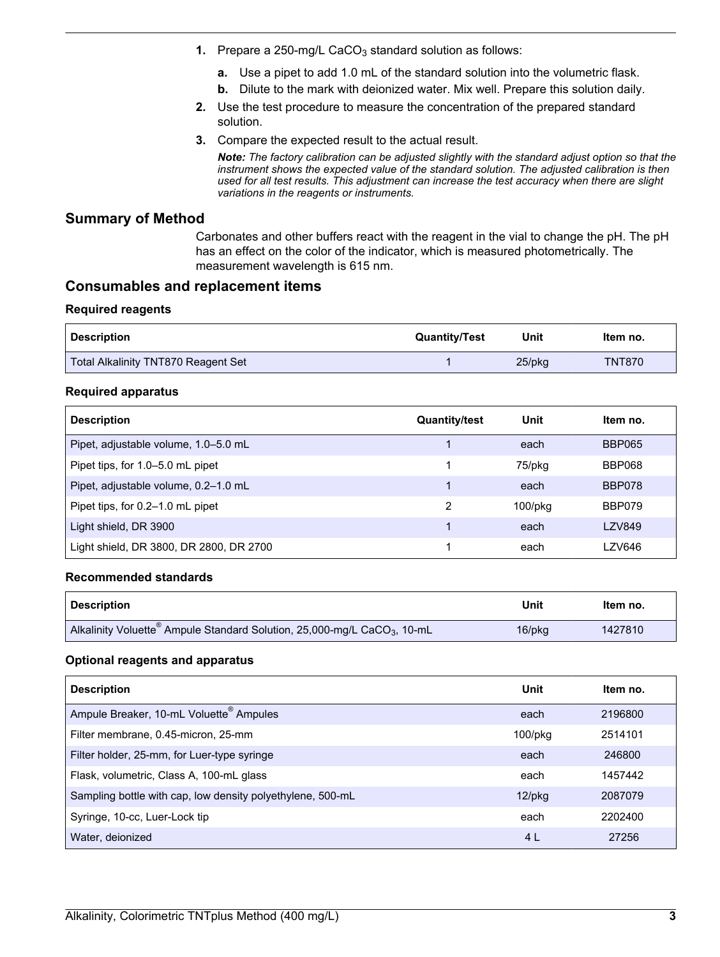- **1.** Prepare a 250-mg/L CaCO<sub>3</sub> standard solution as follows:
	- **a.** Use a pipet to add 1.0 mL of the standard solution into the volumetric flask.
	- **b.** Dilute to the mark with deionized water. Mix well. Prepare this solution daily.
- **2.** Use the test procedure to measure the concentration of the prepared standard solution.
- **3.** Compare the expected result to the actual result.

*Note: The factory calibration can be adjusted slightly with the standard adjust option so that the instrument shows the expected value of the standard solution. The adjusted calibration is then used for all test results. This adjustment can increase the test accuracy when there are slight variations in the reagents or instruments.*

## **Summary of Method**

Carbonates and other buffers react with the reagent in the vial to change the pH. The pH has an effect on the color of the indicator, which is measured photometrically. The measurement wavelength is 615 nm.

## **Consumables and replacement items**

#### **Required reagents**

<span id="page-2-0"></span>

| <b>Description</b>                  | <b>Quantity/Test</b> | Unit      | Item no.      |
|-------------------------------------|----------------------|-----------|---------------|
| Total Alkalinity TNT870 Reagent Set |                      | $25$ /pkg | <b>TNT870</b> |

### **Required apparatus**

| <b>Description</b>                      | <b>Quantity/test</b> | Unit          | Item no.      |
|-----------------------------------------|----------------------|---------------|---------------|
| Pipet, adjustable volume, 1.0-5.0 mL    |                      | each          | <b>BBP065</b> |
| Pipet tips, for 1.0-5.0 mL pipet        |                      | 75/pkg        | BBP068        |
| Pipet, adjustable volume, 0.2-1.0 mL    |                      | each          | BBP078        |
| Pipet tips, for 0.2–1.0 mL pipet        | 2                    | $100$ /p $kg$ | BBP079        |
| Light shield, DR 3900                   |                      | each          | LZV849        |
| Light shield, DR 3800, DR 2800, DR 2700 |                      | each          | LZV646        |

#### **Recommended standards**

| <b>Description</b>                                                                               | Unit   | Item no. |
|--------------------------------------------------------------------------------------------------|--------|----------|
| Alkalinity Voluette <sup>®</sup> Ampule Standard Solution, 25,000-mg/L CaCO <sub>3</sub> , 10-mL | 16/pkg | 1427810  |

#### **Optional reagents and apparatus**

| <b>Description</b>                                         | Unit       | Item no. |
|------------------------------------------------------------|------------|----------|
| Ampule Breaker, 10-mL Voluette <sup>®</sup> Ampules        | each       | 2196800  |
| Filter membrane, 0.45-micron, 25-mm                        | $100$ /pkg | 2514101  |
| Filter holder, 25-mm, for Luer-type syringe                | each       | 246800   |
| Flask, volumetric, Class A, 100-mL glass                   | each       | 1457442  |
| Sampling bottle with cap, low density polyethylene, 500-mL | $12$ /pkg  | 2087079  |
| Syringe, 10-cc, Luer-Lock tip                              | each       | 2202400  |
| Water, deionized                                           | 4 L        | 27256    |